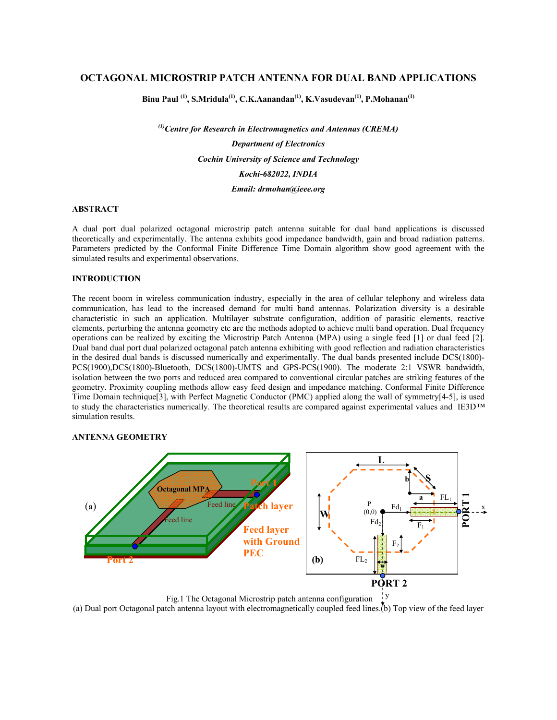# **OCTAGONAL MICROSTRIP PATCH ANTENNA FOR DUAL BAND APPLICATIONS**

**Binu Paul (1), S.Mridula(1), C.K.Aanandan(1), K.Vasudevan(1), P.Mohanan(1)**

*(1)Centre for Research in Electromagnetics and Antennas (CREMA) Department of Electronics Cochin University of Science and Technology Kochi-682022, INDIA Email: drmohan@ieee.org* 

# **ABSTRACT**

A dual port dual polarized octagonal microstrip patch antenna suitable for dual band applications is discussed theoretically and experimentally. The antenna exhibits good impedance bandwidth, gain and broad radiation patterns. Parameters predicted by the Conformal Finite Difference Time Domain algorithm show good agreement with the simulated results and experimental observations.

### **INTRODUCTION**

The recent boom in wireless communication industry, especially in the area of cellular telephony and wireless data communication, has lead to the increased demand for multi band antennas. Polarization diversity is a desirable characteristic in such an application. Multilayer substrate configuration, addition of parasitic elements, reactive elements, perturbing the antenna geometry etc are the methods adopted to achieve multi band operation. Dual frequency operations can be realized by exciting the Microstrip Patch Antenna (MPA) using a single feed [1] or dual feed [2]. Dual band dual port dual polarized octagonal patch antenna exhibiting with good reflection and radiation characteristics in the desired dual bands is discussed numerically and experimentally. The dual bands presented include DCS(1800)- PCS(1900),DCS(1800)-Bluetooth, DCS(1800)-UMTS and GPS-PCS(1900). The moderate 2:1 VSWR bandwidth, isolation between the two ports and reduced area compared to conventional circular patches are striking features of the geometry. Proximity coupling methods allow easy feed design and impedance matching. Conformal Finite Difference Time Domain technique[3], with Perfect Magnetic Conductor (PMC) applied along the wall of symmetry[4-5], is used to study the characteristics numerically. The theoretical results are compared against experimental values and IE3D*™* simulation results.

#### **ANTENNA GEOMETRY**



 Fig.1 The Octagonal Microstrip patch antenna configuration y

(a) Dual port Octagonal patch antenna layout with electromagnetically coupled feed lines.(b) Top view of the feed layer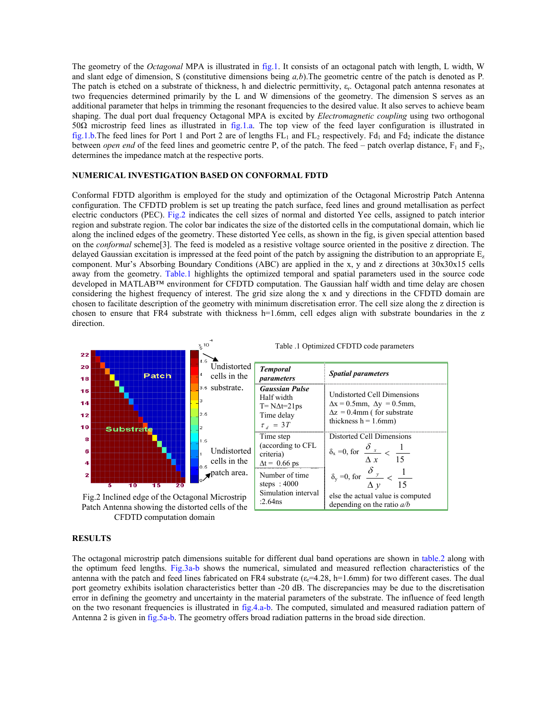The geometry of the *Octagonal* MPA is illustrated in fig.1. It consists of an octagonal patch with length, L width, W and slant edge of dimension, S (constitutive dimensions being *a,b*).The geometric centre of the patch is denoted as P*.*  The patch is etched on a substrate of thickness, h and dielectric permittivity, εr. Octagonal patch antenna resonates at two frequencies determined primarily by the L and W dimensions of the geometry. The dimension S serves as an additional parameter that helps in trimming the resonant frequencies to the desired value. It also serves to achieve beam shaping. The dual port dual frequency Octagonal MPA is excited by *Electromagnetic coupling* using two orthogonal 50Ω microstrip feed lines as illustrated in fig.1.a. The top view of the feed layer configuration is illustrated in fig.1.b.The feed lines for Port 1 and Port 2 are of lengths  $FL_1$  and  $FL_2$  respectively. Fd<sub>1</sub> and Fd<sub>2</sub> indicate the distance between *open end* of the feed lines and geometric centre P, of the patch. The feed – patch overlap distance,  $F_1$  and  $F_2$ , determines the impedance match at the respective ports.

### **NUMERICAL INVESTIGATION BASED ON CONFORMAL FDTD**

Conformal FDTD algorithm is employed for the study and optimization of the Octagonal Microstrip Patch Antenna configuration. The CFDTD problem is set up treating the patch surface, feed lines and ground metallisation as perfect electric conductors (PEC). Fig.2 indicates the cell sizes of normal and distorted Yee cells, assigned to patch interior region and substrate region. The color bar indicates the size of the distorted cells in the computational domain, which lie along the inclined edges of the geometry. These distorted Yee cells, as shown in the fig, is given special attention based on the *conformal* scheme[3]. The feed is modeled as a resistive voltage source oriented in the positive z direction. The delayed Gaussian excitation is impressed at the feed point of the patch by assigning the distribution to an appropriate  $E_z$ component. Mur's Absorbing Boundary Conditions (ABC) are applied in the x, y and z directions at 30x30x15 cells away from the geometry. Table.1 highlights the optimized temporal and spatial parameters used in the source code developed in MATLAB™ environment for CFDTD computation. The Gaussian half width and time delay are chosen considering the highest frequency of interest. The grid size along the x and y directions in the CFDTD domain are chosen to facilitate description of the geometry with minimum discretisation error. The cell size along the z direction is chosen to ensure that FR4 substrate with thickness h=1.6mm, cell edges align with substrate boundaries in the z direction.



Patch Antenna showing the distorted cells of the CFDTD computation domain

#### **RESULTS**

The octagonal microstrip patch dimensions suitable for different dual band operations are shown in table.2 along with the optimum feed lengths. Fig.3a-b shows the numerical, simulated and measured reflection characteristics of the antenna with the patch and feed lines fabricated on FR4 substrate  $(\epsilon = 4.28, \text{ h} = 1.6 \text{ mm})$  for two different cases. The dual port geometry exhibits isolation characteristics better than -20 dB. The discrepancies may be due to the discretisation error in defining the geometry and uncertainty in the material parameters of the substrate. The influence of feed length on the two resonant frequencies is illustrated in fig.4.a-b. The computed, simulated and measured radiation pattern of Antenna 2 is given in fig.5a-b. The geometry offers broad radiation patterns in the broad side direction.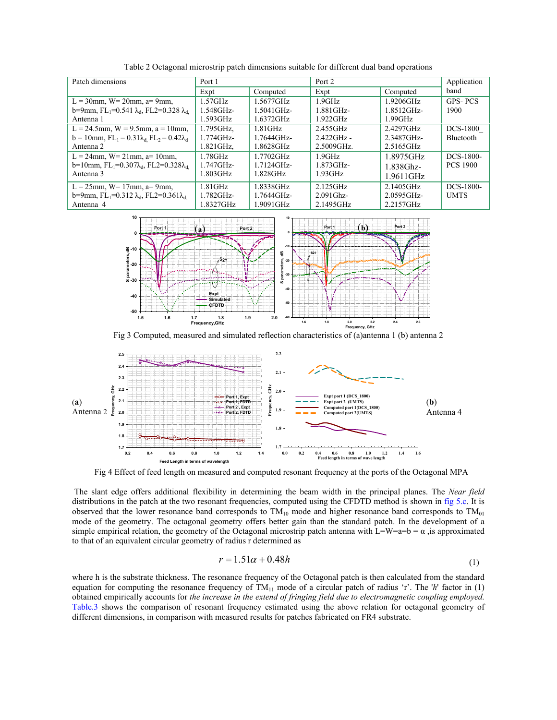| Patch dimensions                                                          | Port 1       |                     | Port 2        |            | Application      |
|---------------------------------------------------------------------------|--------------|---------------------|---------------|------------|------------------|
|                                                                           | Expt         | Computed            | Expt          | Computed   | band             |
| $L = 30$ mm, W= 20mm, a= 9mm,                                             | $1.57$ GHz   | 1.5677GHz           | $1.9$ GHz     | 1.9206GHz  | <b>GPS-PCS</b>   |
| b=9mm, FL <sub>1</sub> =0.541 λ <sub>d</sub> , FL2=0.328 λ <sub>d</sub>   | $1.548$ GHz- | $1.5041$ GHz-       | 1.881GHz-     | 1.8512GHz- | 1900             |
| Antenna 1                                                                 | 1.593GHz     | 1.6372GHz           | 1.922GHz      | 1.99GHz    |                  |
| L = 24.5mm, W = 9.5mm, a = 10mm,                                          | 1.795GHz,    | $1.81$ GHz          | 2.455GHz      | 2.4297GHz  | DCS-1800         |
| $b = 10$ mm, $FL_1 = 0.31\lambda_d$ , $FL_2 = 0.42\lambda_d$              | $1.774$ GHz- | $1.7644$ GHz-       | $2.422$ GHz - | 2.3487GHz- | <b>Bluetooth</b> |
| Antenna 2                                                                 | 1.821GHz,    | 1.8628GHz           | 2.5009GHz.    | 2.5165GHz  |                  |
| $L = 24$ mm, W= 21mm, a= 10mm,                                            | 1.78GHz      | $1.7702 \text{GHz}$ | $1.9$ GHz     | 1.8975GHz  | DCS-1800-        |
| $b=10$ mm, FL <sub>1</sub> =0.307 $\lambda_{d}$ , FL2=0.328 $\lambda_{d}$ | $1.747$ GHz- | $1.7124$ GHz-       | $1.873$ GHz-  | 1.838Ghz-  | <b>PCS 1900</b>  |
| Antenna 3                                                                 | $1.803$ GHz  | $1.828$ GHz         | 1.93GHz       | 1.9611GHz  |                  |
| $L = 25$ mm, W= 17mm, a= 9mm,                                             | $1.81$ GHz   | 1.8338GHz           | $2.125$ GHz   | 2.1405GHz  | DCS-1800-        |
| b=9mm, FL <sub>1</sub> =0.312 $\lambda_{d}$ , FL2=0.361 $\lambda_{d}$     | $1.782$ GHz- | $1.7644$ GHz-       | $2.091$ Ghz-  | 2.0595GHz- | <b>UMTS</b>      |
| Antenna 4                                                                 | 1.8327GHz    | 1.9091GHz           | 2.1495GHz     | 2.2157GHz  |                  |

Table 2 Octagonal microstrip patch dimensions suitable for different dual band operations



Fig 3 Computed, measured and simulated reflection characteristics of (a)antenna 1 (b) antenna 2



Fig 4 Effect of feed length on measured and computed resonant frequency at the ports of the Octagonal MPA

 The slant edge offers additional flexibility in determining the beam width in the principal planes. The *Near field* distributions in the patch at the two resonant frequencies, computed using the CFDTD method is shown in fig 5.c. It is observed that the lower resonance band corresponds to  $TM_{10}$  mode and higher resonance band corresponds to  $TM_{01}$ mode of the geometry. The octagonal geometry offers better gain than the standard patch. In the development of a simple empirical relation, the geometry of the Octagonal microstrip patch antenna with L=W=a=b =  $\alpha$ , is approximated to that of an equivalent circular geometry of radius r determined as

$$
r = 1.51\alpha + 0.48h\tag{1}
$$

where h is the substrate thickness. The resonance frequency of the Octagonal patch is then calculated from the standard equation for computing the resonance frequency of TM11 mode of a circular patch of radius 'r'. The '*h*' factor in (1) obtained empirically accounts for *the increase in the extend of fringing field due to electromagnetic coupling employed.* Table.3 shows the comparison of resonant frequency estimated using the above relation for octagonal geometry of different dimensions, in comparison with measured results for patches fabricated on FR4 substrate.